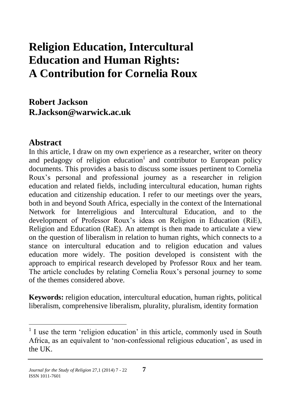# **Religion Education, Intercultural Education and Human Rights: A Contribution for Cornelia Roux**

**Robert Jackson R.Jackson@warwick.ac.uk**

#### **Abstract**

 $\overline{a}$ 

In this article, I draw on my own experience as a researcher, writer on theory and pedagogy of religion education<sup>1</sup> and contributor to European policy documents. This provides a basis to discuss some issues pertinent to Cornelia Roux's personal and professional journey as a researcher in religion education and related fields, including intercultural education, human rights education and citizenship education. I refer to our meetings over the years, both in and beyond South Africa, especially in the context of the International Network for Interreligious and Intercultural Education, and to the development of Professor Roux's ideas on Religion in Education (RiE), Religion and Education (RaE). An attempt is then made to articulate a view on the question of liberalism in relation to human rights, which connects to a stance on intercultural education and to religion education and values education more widely. The position developed is consistent with the approach to empirical research developed by Professor Roux and her team. The article concludes by relating Cornelia Roux's personal journey to some of the themes considered above.

**Keywords:** religion education, intercultural education, human rights, political liberalism, comprehensive liberalism, plurality, pluralism, identity formation

<sup>&</sup>lt;sup>1</sup> I use the term 'religion education' in this article, commonly used in South Africa, as an equivalent to 'non-confessional religious education', as used in the UK.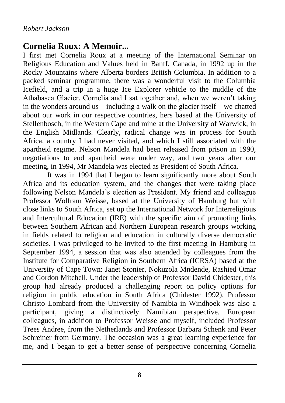#### **Cornelia Roux: A Memoir...**

I first met Cornelia Roux at a meeting of the International Seminar on Religious Education and Values held in Banff, Canada, in 1992 up in the Rocky Mountains where Alberta borders British Columbia. In addition to a packed seminar programme, there was a wonderful visit to the Columbia Icefield, and a trip in a huge Ice Explorer vehicle to the middle of the Athabasca Glacier. Cornelia and I sat together and, when we weren't taking in the wonders around us – including a walk on the glacier itself – we chatted about our work in our respective countries, hers based at the University of Stellenbosch, in the Western Cape and mine at the University of Warwick, in the English Midlands. Clearly, radical change was in process for South Africa, a country I had never visited, and which I still associated with the apartheid regime. Nelson Mandela had been released from prison in 1990, negotiations to end apartheid were under way, and two years after our meeting, in 1994, Mr Mandela was elected as President of South Africa.

It was in 1994 that I began to learn significantly more about South Africa and its education system, and the changes that were taking place following Nelson Mandela's election as President. My friend and colleague Professor Wolfram Weisse, based at the University of Hamburg but with close links to South Africa, set up the International Network for Interreligious and Intercultural Education (IRE) with the specific aim of promoting links between Southern African and Northern European research groups working in fields related to religion and education in culturally diverse democratic societies. I was privileged to be invited to the first meeting in Hamburg in September 1994, a session that was also attended by colleagues from the Institute for Comparative Religion in Southern Africa (ICRSA) based at the University of Cape Town: Janet Stonier, Nokuzola Mndende, Rashied Omar and Gordon Mitchell. Under the leadership of Professor David Chidester, this group had already produced a challenging report on policy options for religion in public education in South Africa (Chidester 1992). Professor Christo Lombard from the University of Namibia in Windhoek was also a participant, giving a distinctively Namibian perspective. European colleagues, in addition to Professor Weisse and myself, included Professor Trees Andree, from the Netherlands and Professor Barbara Schenk and Peter Schreiner from Germany. The occasion was a great learning experience for me, and I began to get a better sense of perspective concerning Cornelia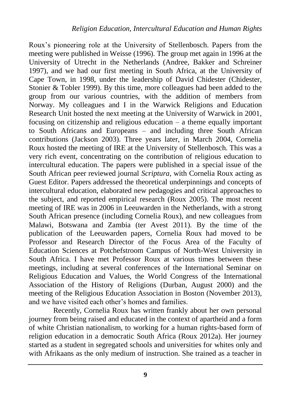Roux's pioneering role at the University of Stellenbosch. Papers from the meeting were published in Weisse (1996). The group met again in 1996 at the University of Utrecht in the Netherlands (Andree, Bakker and Schreiner 1997), and we had our first meeting in South Africa, at the University of Cape Town, in 1998, under the leadership of David Chidester (Chidester, Stonier & Tobler 1999). By this time, more colleagues had been added to the group from our various countries, with the addition of members from Norway. My colleagues and I in the Warwick Religions and Education Research Unit hosted the next meeting at the University of Warwick in 2001, focusing on citizenship and religious education  $-$  a theme equally important to South Africans and Europeans – and including three South African contributions (Jackson 2003). Three years later, in March 2004, Cornelia Roux hosted the meeting of IRE at the University of Stellenbosch. This was a very rich event, concentrating on the contribution of religious education to intercultural education. The papers were published in a special issue of the South African peer reviewed journal *Scriptura*, with Cornelia Roux acting as Guest Editor. Papers addressed the theoretical underpinnings and concepts of intercultural education, elaborated new pedagogies and critical approaches to the subject, and reported empirical research (Roux 2005). The most recent meeting of IRE was in 2006 in Leeuwarden in the Netherlands, with a strong South African presence (including Cornelia Roux), and new colleagues from Malawi, Botswana and Zambia (ter Avest 2011). By the time of the publication of the Leeuwarden papers, Cornelia Roux had moved to be Professor and Research Director of the Focus Area of the Faculty of Education Sciences at Potchefstroom Campus of North-West University in South Africa. I have met Professor Roux at various times between these meetings, including at several conferences of the International Seminar on Religious Education and Values, the World Congress of the International Association of the History of Religions (Durban, August 2000) and the meeting of the Religious Education Association in Boston (November 2013), and we have visited each other's homes and families.

Recently, Cornelia Roux has written frankly about her own personal journey from being raised and educated in the context of apartheid and a form of white Christian nationalism, to working for a human rights-based form of religion education in a democratic South Africa (Roux 2012a). Her journey started as a student in segregated schools and universities for whites only and with Afrikaans as the only medium of instruction. She trained as a teacher in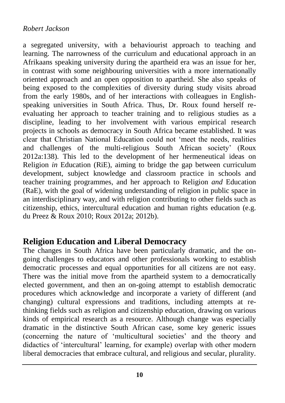#### *Robert Jackson*

a segregated university, with a behaviourist approach to teaching and learning. The narrowness of the curriculum and educational approach in an Afrikaans speaking university during the apartheid era was an issue for her, in contrast with some neighbouring universities with a more internationally oriented approach and an open opposition to apartheid. She also speaks of being exposed to the complexities of diversity during study visits abroad from the early 1980s, and of her interactions with colleagues in Englishspeaking universities in South Africa. Thus, Dr. Roux found herself reevaluating her approach to teacher training and to religious studies as a discipline, leading to her involvement with various empirical research projects in schools as democracy in South Africa became established. It was clear that Christian National Education could not 'meet the needs, realities and challenges of the multi-religious South African society' (Roux 2012a:138). This led to the development of her hermeneutical ideas on Religion *in* Education (RiE), aiming to bridge the gap between curriculum development, subject knowledge and classroom practice in schools and teacher training programmes, and her approach to Religion *and* Education (RaE), with the goal of widening understanding of religion in public space in an interdisciplinary way, and with religion contributing to other fields such as citizenship, ethics, intercultural education and human rights education (e.g. du Preez & Roux 2010; Roux 2012a; 2012b).

## **Religion Education and Liberal Democracy**

The changes in South Africa have been particularly dramatic, and the ongoing challenges to educators and other professionals working to establish democratic processes and equal opportunities for all citizens are not easy. There was the initial move from the apartheid system to a democratically elected government, and then an on-going attempt to establish democratic procedures which acknowledge and incorporate a variety of different (and changing) cultural expressions and traditions, including attempts at rethinking fields such as religion and citizenship education, drawing on various kinds of empirical research as a resource. Although change was especially dramatic in the distinctive South African case, some key generic issues (concerning the nature of 'multicultural societies' and the theory and didactics of 'intercultural' learning, for example) overlap with other modern liberal democracies that embrace cultural, and religious and secular, plurality.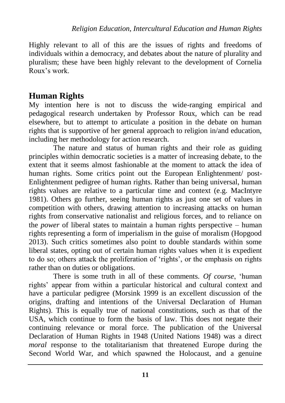Highly relevant to all of this are the issues of rights and freedoms of individuals within a democracy, and debates about the nature of plurality and pluralism; these have been highly relevant to the development of Cornelia Roux's work.

### **Human Rights**

My intention here is not to discuss the wide-ranging empirical and pedagogical research undertaken by Professor Roux, which can be read elsewhere, but to attempt to articulate a position in the debate on human rights that is supportive of her general approach to religion in/and education, including her methodology for action research.

The nature and status of human rights and their role as guiding principles within democratic societies is a matter of increasing debate, to the extent that it seems almost fashionable at the moment to attack the idea of human rights. Some critics point out the European Enlightenment/ post-Enlightenment pedigree of human rights. Rather than being universal, human rights values are relative to a particular time and context (e.g. MacIntyre 1981). Others go further, seeing human rights as just one set of values in competition with others, drawing attention to increasing attacks on human rights from conservative nationalist and religious forces, and to reliance on the *power* of liberal states to maintain a human rights perspective – human rights representing a form of imperialism in the guise of moralism (Hopgood 2013). Such critics sometimes also point to double standards within some liberal states, opting out of certain human rights values when it is expedient to do so; others attack the proliferation of 'rights', or the emphasis on rights rather than on duties or obligations.

There is some truth in all of these comments. *Of course*, 'human rights' appear from within a particular historical and cultural context and have a particular pedigree (Morsink 1999 is an excellent discussion of the origins, drafting and intentions of the Universal Declaration of Human Rights). This is equally true of national constitutions, such as that of the USA, which continue to form the basis of law. This does not negate their continuing relevance or moral force. The publication of the Universal Declaration of Human Rights in 1948 (United Nations 1948) was a direct *moral* response to the totalitarianism that threatened Europe during the Second World War, and which spawned the Holocaust, and a genuine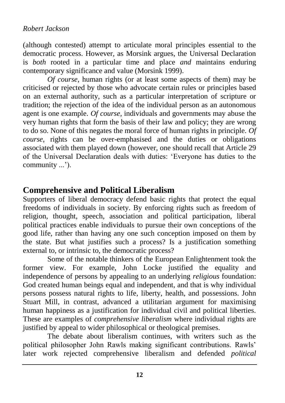(although contested) attempt to articulate moral principles essential to the democratic process. However, as Morsink argues, the Universal Declaration is *both* rooted in a particular time and place *and* maintains enduring contemporary significance and value (Morsink 1999).

*Of course*, human rights (or at least some aspects of them) may be criticised or rejected by those who advocate certain rules or principles based on an external authority, such as a particular interpretation of scripture or tradition; the rejection of the idea of the individual person as an autonomous agent is one example. *Of course*, individuals and governments may abuse the very human rights that form the basis of their law and policy; they are wrong to do so. None of this negates the moral force of human rights in principle. *Of course,* rights can be over-emphasised and the duties or obligations associated with them played down (however, one should recall that Article 29 of the Universal Declaration deals with duties: 'Everyone has duties to the community ...').

# **Comprehensive and Political Liberalism**

Supporters of liberal democracy defend basic rights that protect the equal freedoms of individuals in society. By enforcing rights such as freedom of religion, thought, speech, association and political participation, liberal political practices enable individuals to pursue their own conceptions of the good life, rather than having any one such conception imposed on them by the state. But what justifies such a process? Is a justification something external to, or intrinsic to, the democratic process?

Some of the notable thinkers of the European Enlightenment took the former view. For example, John Locke justified the equality and independence of persons by appealing to an underlying *religious* foundation: God created human beings equal and independent, and that is why individual persons possess natural rights to life, liberty, health, and possessions. John Stuart Mill, in contrast, advanced a utilitarian argument for maximising human happiness as a justification for individual civil and political liberties. These are examples of *comprehensive liberalism* where individual rights are justified by appeal to wider philosophical or theological premises.

The debate about liberalism continues, with writers such as the political philosopher John Rawls making significant contributions. Rawls' later work rejected comprehensive liberalism and defended *political*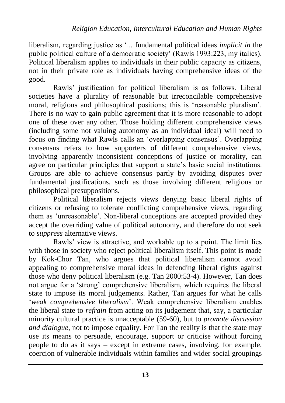liberalism*,* regarding justice as '... fundamental political ideas *implicit in* the public political culture of a democratic society' (Rawls 1993:223, my italics). Political liberalism applies to individuals in their public capacity as citizens, not in their private role as individuals having comprehensive ideas of the good.

Rawls' justification for political liberalism is as follows. Liberal societies have a plurality of reasonable but irreconcilable comprehensive moral, religious and philosophical positions; this is 'reasonable pluralism'. There is no way to gain public agreement that it is more reasonable to adopt one of these over any other. Those holding different comprehensive views (including some not valuing autonomy as an individual ideal) will need to focus on finding what Rawls calls an 'overlapping consensus'. Overlapping consensus refers to how supporters of different comprehensive views, involving apparently inconsistent conceptions of justice or morality, can agree on particular principles that support a state's basic social institutions. Groups are able to achieve consensus partly by avoiding disputes over fundamental justifications, such as those involving different religious or philosophical presuppositions.

Political liberalism rejects views denying basic liberal rights of citizens or refusing to tolerate conflicting comprehensive views, regarding them as 'unreasonable'. Non-liberal conceptions are accepted provided they accept the overriding value of political autonomy, and therefore do not seek to *suppress* alternative views.

Rawls' view is attractive, and workable up to a point. The limit lies with those in society who reject political liberalism itself. This point is made by Kok-Chor Tan, who argues that political liberalism cannot avoid appealing to comprehensive moral ideas in defending liberal rights against those who deny political liberalism (e.g. Tan 2000:53-4). However, Tan does not argue for a 'strong' comprehensive liberalism, which requires the liberal state to impose its moral judgements. Rather, Tan argues for what he calls '*weak comprehensive liberalism*'. Weak comprehensive liberalism enables the liberal state to *refrain* from acting on its judgement that, say, a particular minority cultural practice is unacceptable (59-60), but to *promote discussion and dialogue*, not to impose equality. For Tan the reality is that the state may use its means to persuade, encourage, support or criticise without forcing people to do as it says – except in extreme cases, involving, for example, coercion of vulnerable individuals within families and wider social groupings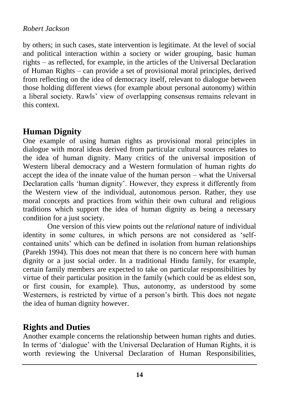#### *Robert Jackson*

by others; in such cases, state intervention is legitimate. At the level of social and political interaction within a society or wider grouping, basic human rights – as reflected, for example, in the articles of the Universal Declaration of Human Rights – can provide a set of provisional moral principles, derived from reflecting on the idea of democracy itself, relevant to dialogue between those holding different views (for example about personal autonomy) within a liberal society. Rawls' view of overlapping consensus remains relevant in this context.

# **Human Dignity**

One example of using human rights as provisional moral principles in dialogue with moral ideas derived from particular cultural sources relates to the idea of human dignity. Many critics of the universal imposition of Western liberal democracy and a Western formulation of human rights *do* accept the idea of the innate value of the human person – what the Universal Declaration calls 'human dignity'. However, they express it differently from the Western view of the individual, autonomous person. Rather, they use moral concepts and practices from within their own cultural and religious traditions which support the idea of human dignity as being a necessary condition for a just society.

One version of this view points out the *relational* nature of individual identity in some cultures, in which persons are not considered as 'selfcontained units' which can be defined in isolation from human relationships (Parekh 1994). This does not mean that there is no concern here with human dignity or a just social order. In a traditional Hindu family, for example, certain family members are expected to take on particular responsibilities by virtue of their particular position in the family (which could be as eldest son, or first cousin, for example). Thus, autonomy, as understood by some Westerners, is restricted by virtue of a person's birth. This does not negate the idea of human dignity however.

# **Rights and Duties**

Another example concerns the relationship between human rights and duties. In terms of 'dialogue' with the Universal Declaration of Human Rights, it is worth reviewing the Universal Declaration of Human Responsibilities,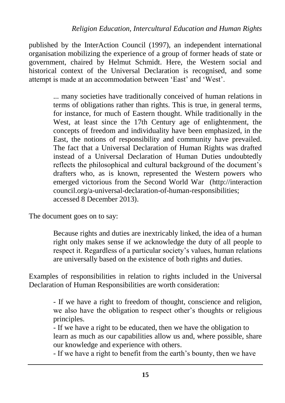published by the InterAction Council (1997), an independent international organisation mobilizing the experience of a group of former heads of state or government, chaired by Helmut Schmidt. Here, the Western social and historical context of the Universal Declaration is recognised, and some attempt is made at an accommodation between 'East' and 'West'.

> ... many societies have traditionally conceived of human relations in terms of obligations rather than rights. This is true, in general terms, for instance, for much of Eastern thought. While traditionally in the West, at least since the 17th Century age of enlightenment, the concepts of freedom and individuality have been emphasized, in the East, the notions of responsibility and community have prevailed. The fact that a Universal Declaration of Human Rights was drafted instead of a Universal Declaration of Human Duties undoubtedly reflects the philosophical and cultural background of the document's drafters who, as is known, represented the Western powers who emerged victorious from the Second World War [\(http://interaction](http://interaction/) council.org/a-universal-declaration-of-human-responsibilities; accessed 8 December 2013).

The document goes on to say:

Because rights and duties are inextricably linked, the idea of a human right only makes sense if we acknowledge the duty of all people to respect it. Regardless of a particular society's values, human relations are universally based on the existence of both rights and duties.

Examples of responsibilities in relation to rights included in the Universal Declaration of Human Responsibilities are worth consideration:

> - If we have a right to freedom of thought, conscience and religion, we also have the obligation to respect other's thoughts or religious principles.

> - If we have a right to be educated, then we have the obligation to learn as much as our capabilities allow us and, where possible, share our knowledge and experience with others.

- If we have a right to benefit from the earth's bounty, then we have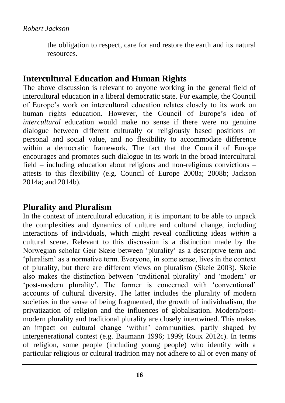the obligation to respect, care for and restore the earth and its natural resources.

# **Intercultural Education and Human Rights**

The above discussion is relevant to anyone working in the general field of intercultural education in a liberal democratic state. For example, the Council of Europe's work on intercultural education relates closely to its work on human rights education. However, the Council of Europe's idea of *intercultural* education would make no sense if there were no genuine dialogue between different culturally or religiously based positions on personal and social value, and no flexibility to accommodate difference within a democratic framework. The fact that the Council of Europe encourages and promotes such dialogue in its work in the broad intercultural field – including education about religions and non-religious convictions – attests to this flexibility (e.g. Council of Europe 2008a; 2008b; Jackson 2014a; and 2014b).

## **Plurality and Pluralism**

In the context of intercultural education, it is important to be able to unpack the complexities and dynamics of culture and cultural change, including interactions of individuals, which might reveal conflicting ideas *within* a cultural scene. Relevant to this discussion is a distinction made by the Norwegian scholar Geir Skeie between 'plurality' as a descriptive term and 'pluralism' as a normative term. Everyone, in some sense, lives in the context of plurality, but there are different views on pluralism (Skeie 2003). Skeie also makes the distinction between 'traditional plurality' and 'modern' or 'post-modern plurality'. The former is concerned with 'conventional' accounts of cultural diversity. The latter includes the plurality of modern societies in the sense of being fragmented, the growth of individualism, the privatization of religion and the influences of globalisation. Modern/postmodern plurality and traditional plurality are closely intertwined. This makes an impact on cultural change 'within' communities, partly shaped by intergenerational contest (e.g. Baumann 1996; 1999; Roux 2012c). In terms of religion, some people (including young people) who identify with a particular religious or cultural tradition may not adhere to all or even many of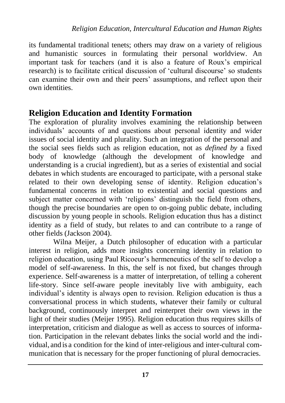its fundamental traditional tenets; others may draw on a variety of religious and humanistic sources in formulating their personal worldview. An important task for teachers (and it is also a feature of Roux's empirical research) is to facilitate critical discussion of 'cultural discourse' so students can examine their own and their peers' assumptions, and reflect upon their own identities.

### **Religion Education and Identity Formation**

The exploration of plurality involves examining the relationship between individuals' accounts of and questions about personal identity and wider issues of social identity and plurality. Such an integration of the personal and the social sees fields such as religion education, not as *defined by* a fixed body of knowledge (although the development of knowledge and understanding is a crucial ingredient), but as a series of existential and social debates in which students are encouraged to participate, with a personal stake related to their own developing sense of identity. Religion education's fundamental concerns in relation to existential and social questions and subject matter concerned with 'religions' distinguish the field from others, though the precise boundaries are open to on-going public debate, including discussion by young people in schools. Religion education thus has a distinct identity as a field of study, but relates to and can contribute to a range of other fields (Jackson 2004).

Wilna Meijer, a Dutch philosopher of education with a particular interest in religion, adds more insights concerning identity in relation to religion education, using Paul Ricoeur's hermeneutics of the self to develop a model of self-awareness. In this, the self is not fixed, but changes through experience. Self-awareness is a matter of interpretation, of telling a coherent life-story. Since self-aware people inevitably live with ambiguity, each individual's identity is always open to revision. Religion education is thus a conversational process in which students, whatever their family or cultural background, continuously interpret and reinterpret their own views in the light of their studies (Meijer 1995). Religion education thus requires skills of interpretation, criticism and dialogue as well as access to sources of information. Participation in the relevant debates links the social world and the individual, and is a condition for the kind of inter-religious and inter-cultural communication that is necessary for the proper functioning of plural democracies.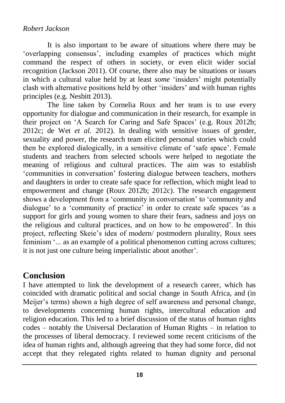It is also important to be aware of situations where there may be 'overlapping consensus', including examples of practices which might command the respect of others in society, or even elicit wider social recognition (Jackson 2011). Of course, there also may be situations or issues in which a cultural value held by at least *some* 'insiders' might potentially clash with alternative positions held by other 'insiders' and with human rights principles (e.g. Nesbitt 2013).

The line taken by Cornelia Roux and her team is to use every opportunity for dialogue and communication in their research, for example in their project on 'A Search for Caring and Safe Spaces' (e.g. Roux 2012b; 2012c; de Wet *et al.* 2012). In dealing with sensitive issues of gender, sexuality and power, the research team elicited personal stories which could then be explored dialogically, in a sensitive climate of 'safe space'. Female students and teachers from selected schools were helped to negotiate the meaning of religious and cultural practices. The aim was to establish 'communities in conversation' fostering dialogue between teachers, mothers and daughters in order to create safe space for reflection, which might lead to empowerment and change (Roux 2012b; 2012c). The research engagement shows a development from a 'community in conversation' to 'community and dialogue' to a 'community of practice' in order to create safe spaces 'as a support for girls and young women to share their fears, sadness and joys on the religious and cultural practices, and on how to be empowered'. In this project, reflecting Skeie's idea of modern/ postmodern plurality, Roux sees feminism '... as an example of a political phenomenon cutting across cultures; it is not just one culture being imperialistic about another'.

# **Conclusion**

I have attempted to link the development of a research career, which has coincided with dramatic political and social change in South Africa, and (in Meijer's terms) shown a high degree of self awareness and personal change, to developments concerning human rights, intercultural education and religion education. This led to a brief discussion of the status of human rights codes – notably the Universal Declaration of Human Rights – in relation to the processes of liberal democracy. I reviewed some recent criticisms of the idea of human rights and, although agreeing that they had some force, did not accept that they relegated rights related to human dignity and personal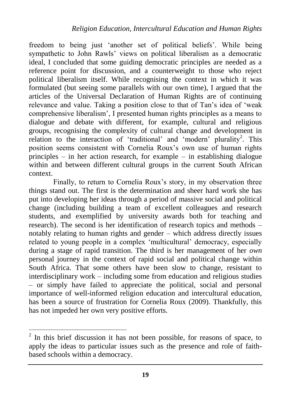freedom to being just 'another set of political beliefs'. While being sympathetic to John Rawls' views on political liberalism as a democratic ideal, I concluded that some guiding democratic principles are needed as a reference point for discussion, and a counterweight to those who reject political liberalism itself. While recognising the context in which it was formulated (but seeing some parallels with our own time), I argued that the articles of the Universal Declaration of Human Rights are of continuing relevance and value. Taking a position close to that of Tan's idea of 'weak comprehensive liberalism', I presented human rights principles as a means to dialogue and debate with different, for example, cultural and religious groups, recognising the complexity of cultural change and development in relation to the interaction of 'traditional' and 'modern' plurality<sup>2</sup>. This position seems consistent with Cornelia Roux's own use of human rights principles – in her action research, for example – in establishing dialogue within and between different cultural groups in the current South African context.

Finally, to return to Cornelia Roux's story, in my observation three things stand out. The first is the determination and sheer hard work she has put into developing her ideas through a period of massive social and political change (including building a team of excellent colleagues and research students, and exemplified by university awards both for teaching and research). The second is her identification of research topics and methods – notably relating to human rights and gender – which address directly issues related to young people in a complex 'multicultural' democracy, especially during a stage of rapid transition. The third is her management of her *own* personal journey in the context of rapid social and political change within South Africa. That some others have been slow to change, resistant to interdisciplinary work – including some from education and religious studies – or simply have failed to appreciate the political, social and personal importance of well-informed religion education and intercultural education, has been a source of frustration for Cornelia Roux (2009). Thankfully, this has not impeded her own very positive efforts.

<sup>&</sup>lt;sup>2</sup> In this brief discussion it has not been possible, for reasons of space, to apply the ideas to particular issues such as the presence and role of faithbased schools within a democracy.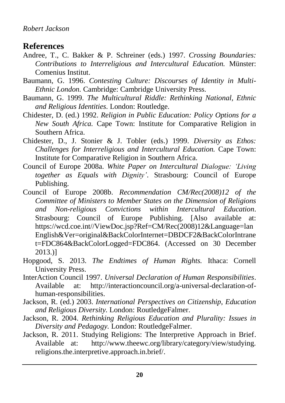#### *Robert Jackson*

### **References**

- Andree, T., C. Bakker & P. Schreiner (eds.) 1997. *Crossing Boundaries: Contributions to Interreligious and Intercultural Education.* Münster: Comenius Institut.
- Baumann, G. 1996. *Contesting Culture: Discourses of Identity in Multi-Ethnic London.* Cambridge: Cambridge University Press.
- Baumann, G. 1999. *The Multicultural Riddle: Rethinking National, Ethnic and Religious Identities.* London: Routledge.
- Chidester, D. (ed.) 1992. *Religion in Public Education: Policy Options for a New South Africa.* Cape Town: Institute for Comparative Religion in Southern Africa.
- Chidester, D., J. Stonier & J. Tobler (eds.) 1999. *Diversity as Ethos: Challenges for Interreligious and Intercultural Education.* Cape Town: Institute for Comparative Religion in Southern Africa.
- Council of Europe 2008a. *White Paper on Intercultural Dialogue: 'Living together as Equals with Dignity'*. Strasbourg: Council of Europe Publishing.
- Council of Europe 2008b. *Recommendation CM/Rec(2008)12 of the Committee of Ministers to Member States on the Dimension of Religions and Non-religious Convictions within Intercultural Education*. Strasbourg: Council of Europe Publishing. [Also available at: [https://wcd.coe.int//ViewDoc.jsp?Ref=CM/Rec\(2008\)12&Language=lan](https://wcd.coe.int/ViewDoc.jsp?Ref=CM/Rec(2008)12&Language=lanEnglish&Ver=original&BackColorInternet=DBDCF2&BackColorIntranet=FDC864&BackColorLogged=FDC864) [English&Ver=original&BackColorInternet=DBDCF2&BackColorIntrane](https://wcd.coe.int/ViewDoc.jsp?Ref=CM/Rec(2008)12&Language=lanEnglish&Ver=original&BackColorInternet=DBDCF2&BackColorIntranet=FDC864&BackColorLogged=FDC864) [t=FDC864&BackColorLogged=FDC864.](https://wcd.coe.int/ViewDoc.jsp?Ref=CM/Rec(2008)12&Language=lanEnglish&Ver=original&BackColorInternet=DBDCF2&BackColorIntranet=FDC864&BackColorLogged=FDC864) (Accessed on 30 December 2013.)]
- Hopgood, S. 2013. *The Endtimes of Human Rights.* Ithaca: Cornell University Press.
- InterAction Council 1997. *Universal Declaration of Human Responsibilities*. Available at: http://interactioncouncil.org/a-universal-declaration-ofhuman-responsibilities.
- Jackson, R. (ed.) 2003. *International Perspectives on Citizenship, Education and Religious Diversity.* London: RoutledgeFalmer.
- Jackson, R. 2004. *Rethinking Religious Education and Plurality: Issues in Diversity and Pedagogy.* London: RoutledgeFalmer.
- Jackson, R. 2011. Studying Religions: The Interpretive Approach in Brief. Available at: [http://www.theewc.org/library/category/view/studying.](http://www.theewc.org/library/category/view/studying.%20religions.the.interpretive.approach.in.brief/)  [religions.the.interpretive.approach.in.brief/.](http://www.theewc.org/library/category/view/studying.%20religions.the.interpretive.approach.in.brief/)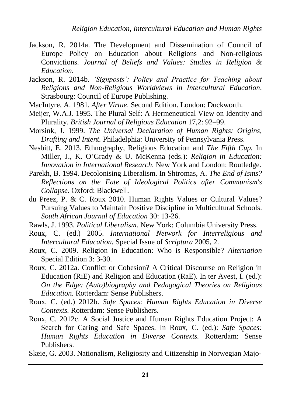- Jackson, R. 2014a. The Development and Dissemination of Council of Europe Policy on Education about Religions and Non-religious Convictions. *Journal of Beliefs and Values: Studies in Religion & Education.*
- Jackson, R. 2014b. *'Signposts': Policy and Practice for Teaching about Religions and Non-Religious Worldviews in Intercultural Education.* Strasbourg: Council of Europe Publishing.
- MacIntyre, A. 1981. *After Virtue*. Second Edition. London: Duckworth.
- Meijer, W.A.J. 1995. The Plural Self: A Hermeneutical View on Identity and Plurality. *British Journal of Religious Education* 17,2: 92–99.
- Morsink, J. 1999. *The Universal Declaration of Human Rights: Origins, Drafting and Intent.* Philadelphia: University of Pennsylvania Press.
- Nesbitt, E. 2013. Ethnography, Religious Education and *The Fifth Cup.* In Miller, J., K. O'Grady & U. McKenna (eds.): *Religion in Education: Innovation in International Research.* New York and London: Routledge.
- Parekh, B. 1994. Decolonising Liberalism. In Shtromas, A. *The End of Isms? Reflections on the Fate of Ideological Politics after Communism's Collapse.* Oxford: Blackwell.
- du Preez, P. & C. Roux 2010. Human Rights Values or Cultural Values? Pursuing Values to Maintain Positive Discipline in Multicultural Schools. *South African Journal of Education* 30: 13-26.
- Rawls, J. 1993. *Political Liberalism.* New York: Columbia University Press.
- Roux, C. (ed.) 2005. *International Network for Interreligious and Intercultural Education.* Special Issue of *Scriptura* 2005, 2.
- Roux, C. 2009. Religion in Education: Who is Responsible? *Alternation* Special Edition 3: 3-30.
- Roux, C. 2012a. Conflict or Cohesion? A Critical Discourse on Religion in Education (RiE) and Religion and Education (RaE). In ter Avest, I. (ed.): *On the Edge: (Auto)biography and Pedagogical Theories on Religious Education.* Rotterdam: Sense Publishers.
- Roux, C. (ed.) 2012b. *Safe Spaces: Human Rights Education in Diverse Contexts.* Rotterdam: Sense Publishers.
- Roux, C. 2012c. A Social Justice and Human Rights Education Project: A Search for Caring and Safe Spaces. In Roux, C. (ed.): *Safe Spaces: Human Rights Education in Diverse Contexts.* Rotterdam: Sense Publishers.

Skeie, G. 2003. Nationalism, Religiosity and Citizenship in Norwegian Majo-